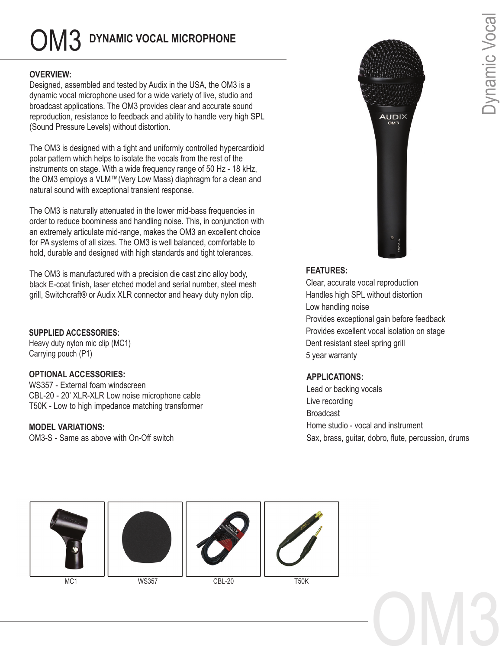# OM3 **DYNAMIC VOCAL MICROPHONE**

### **OVERVIEW:**

Designed, assembled and tested by Audix in the USA, the OM3 is a dynamic vocal microphone used for a wide variety of live, studio and broadcast applications. The OM3 provides clear and accurate sound reproduction, resistance to feedback and ability to handle very high SPL (Sound Pressure Levels) without distortion.

The OM3 is designed with a tight and uniformly controlled hypercardioid polar pattern which helps to isolate the vocals from the rest of the instruments on stage. With a wide frequency range of 50 Hz - 18 kHz, the OM3 employs a VLM™(Very Low Mass) diaphragm for a clean and natural sound with exceptional transient response.

The OM3 is naturally attenuated in the lower mid-bass frequencies in order to reduce boominess and handling noise. This, in conjunction with an extremely articulate mid-range, makes the OM3 an excellent choice for PA systems of all sizes. The OM3 is well balanced, comfortable to hold, durable and designed with high standards and tight tolerances.

The OM3 is manufactured with a precision die cast zinc alloy body, black E-coat finish, laser etched model and serial number, steel mesh grill, Switchcraft® or Audix XLR connector and heavy duty nylon clip.

### **SUPPLIED ACCESSORIES:**

Heavy duty nylon mic clip (MC1) Carrying pouch (P1)

### **OPTIONAL ACCESSORIES:**

WS357 - External foam windscreen CBL-20 - 20' XLR-XLR Low noise microphone cable T50K - Low to high impedance matching transformer

### **MODEL VARIATIONS:**

OM3-S - Same as above with On-Off switch



## **FEATURES:**

Clear, accurate vocal reproduction Handles high SPL without distortion Low handling noise Provides exceptional gain before feedback Provides excellent vocal isolation on stage Dent resistant steel spring grill 5 year warranty

### **APPLICATIONS:**

Lead or backing vocals Live recording Broadcast Home studio - vocal and instrument Sax, brass, guitar, dobro, flute, percussion, drums